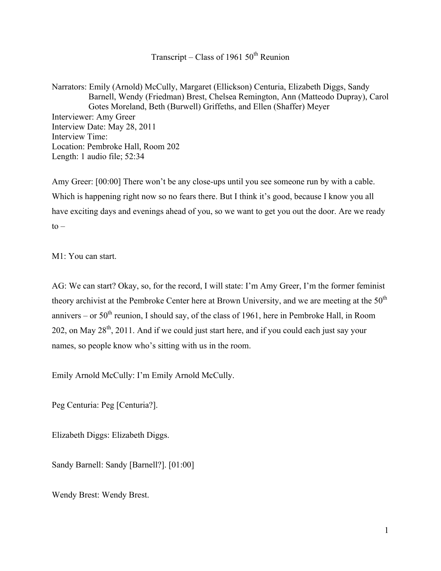Transcript – Class of 1961  $50<sup>th</sup>$  Reunion

Narrators: Emily (Arnold) McCully, Margaret (Ellickson) Centuria, Elizabeth Diggs, Sandy Barnell, Wendy (Friedman) Brest, Chelsea Remington, Ann (Matteodo Dupray), Carol Gotes Moreland, Beth (Burwell) Griffeths, and Ellen (Shaffer) Meyer Interviewer: Amy Greer Interview Date: May 28, 2011 Interview Time: Location: Pembroke Hall, Room 202 Length: 1 audio file; 52:34

Amy Greer: [00:00] There won't be any close-ups until you see someone run by with a cable. Which is happening right now so no fears there. But I think it's good, because I know you all have exciting days and evenings ahead of you, so we want to get you out the door. Are we ready  $to -$ 

M1: You can start.

AG: We can start? Okay, so, for the record, I will state: I'm Amy Greer, I'm the former feminist theory archivist at the Pembroke Center here at Brown University, and we are meeting at the  $50<sup>th</sup>$ annivers – or  $50<sup>th</sup>$  reunion, I should say, of the class of 1961, here in Pembroke Hall, in Room 202, on May  $28^{th}$ , 2011. And if we could just start here, and if you could each just say your names, so people know who's sitting with us in the room.

Emily Arnold McCully: I'm Emily Arnold McCully.

Peg Centuria: Peg [Centuria?].

Elizabeth Diggs: Elizabeth Diggs.

Sandy Barnell: Sandy [Barnell?]. [01:00]

Wendy Brest: Wendy Brest.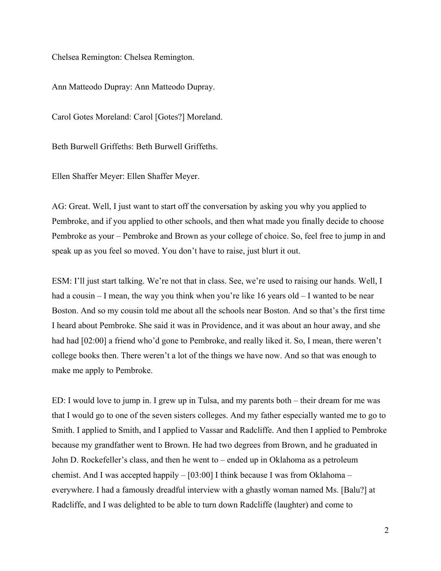Chelsea Remington: Chelsea Remington.

Ann Matteodo Dupray: Ann Matteodo Dupray.

Carol Gotes Moreland: Carol [Gotes?] Moreland.

Beth Burwell Griffeths: Beth Burwell Griffeths.

Ellen Shaffer Meyer: Ellen Shaffer Meyer.

AG: Great. Well, I just want to start off the conversation by asking you why you applied to Pembroke, and if you applied to other schools, and then what made you finally decide to choose Pembroke as your – Pembroke and Brown as your college of choice. So, feel free to jump in and speak up as you feel so moved. You don't have to raise, just blurt it out.

ESM: I'll just start talking. We're not that in class. See, we're used to raising our hands. Well, I had a cousin – I mean, the way you think when you're like 16 years old – I wanted to be near Boston. And so my cousin told me about all the schools near Boston. And so that's the first time I heard about Pembroke. She said it was in Providence, and it was about an hour away, and she had had [02:00] a friend who'd gone to Pembroke, and really liked it. So, I mean, there weren't college books then. There weren't a lot of the things we have now. And so that was enough to make me apply to Pembroke.

ED: I would love to jump in. I grew up in Tulsa, and my parents both – their dream for me was that I would go to one of the seven sisters colleges. And my father especially wanted me to go to Smith. I applied to Smith, and I applied to Vassar and Radcliffe. And then I applied to Pembroke because my grandfather went to Brown. He had two degrees from Brown, and he graduated in John D. Rockefeller's class, and then he went to – ended up in Oklahoma as a petroleum chemist. And I was accepted happily – [03:00] I think because I was from Oklahoma – everywhere. I had a famously dreadful interview with a ghastly woman named Ms. [Balu?] at Radcliffe, and I was delighted to be able to turn down Radcliffe (laughter) and come to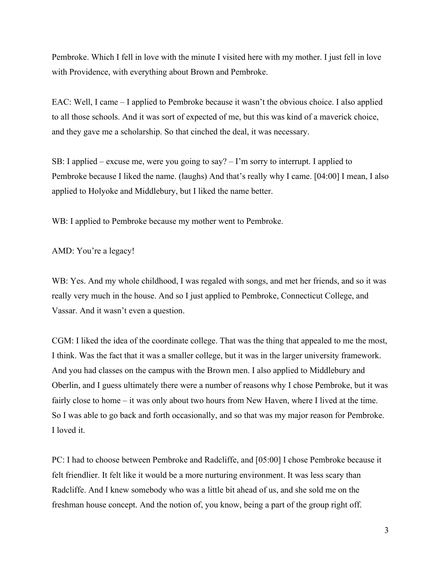Pembroke. Which I fell in love with the minute I visited here with my mother. I just fell in love with Providence, with everything about Brown and Pembroke.

EAC: Well, I came – I applied to Pembroke because it wasn't the obvious choice. I also applied to all those schools. And it was sort of expected of me, but this was kind of a maverick choice, and they gave me a scholarship. So that cinched the deal, it was necessary.

SB: I applied – excuse me, were you going to say? – I'm sorry to interrupt. I applied to Pembroke because I liked the name. (laughs) And that's really why I came. [04:00] I mean, I also applied to Holyoke and Middlebury, but I liked the name better.

WB: I applied to Pembroke because my mother went to Pembroke.

AMD: You're a legacy!

WB: Yes. And my whole childhood, I was regaled with songs, and met her friends, and so it was really very much in the house. And so I just applied to Pembroke, Connecticut College, and Vassar. And it wasn't even a question.

CGM: I liked the idea of the coordinate college. That was the thing that appealed to me the most, I think. Was the fact that it was a smaller college, but it was in the larger university framework. And you had classes on the campus with the Brown men. I also applied to Middlebury and Oberlin, and I guess ultimately there were a number of reasons why I chose Pembroke, but it was fairly close to home – it was only about two hours from New Haven, where I lived at the time. So I was able to go back and forth occasionally, and so that was my major reason for Pembroke. I loved it.

PC: I had to choose between Pembroke and Radcliffe, and [05:00] I chose Pembroke because it felt friendlier. It felt like it would be a more nurturing environment. It was less scary than Radcliffe. And I knew somebody who was a little bit ahead of us, and she sold me on the freshman house concept. And the notion of, you know, being a part of the group right off.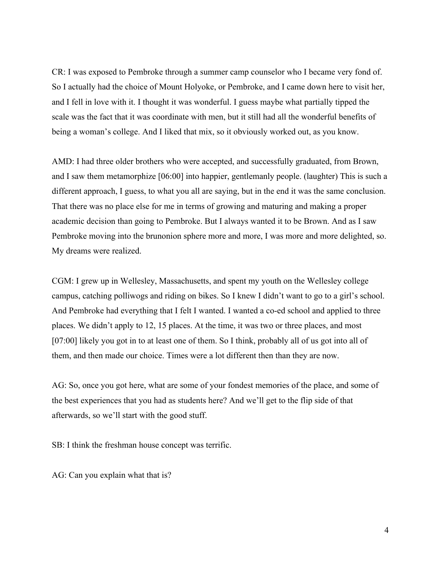CR: I was exposed to Pembroke through a summer camp counselor who I became very fond of. So I actually had the choice of Mount Holyoke, or Pembroke, and I came down here to visit her, and I fell in love with it. I thought it was wonderful. I guess maybe what partially tipped the scale was the fact that it was coordinate with men, but it still had all the wonderful benefits of being a woman's college. And I liked that mix, so it obviously worked out, as you know.

AMD: I had three older brothers who were accepted, and successfully graduated, from Brown, and I saw them metamorphize [06:00] into happier, gentlemanly people. (laughter) This is such a different approach, I guess, to what you all are saying, but in the end it was the same conclusion. That there was no place else for me in terms of growing and maturing and making a proper academic decision than going to Pembroke. But I always wanted it to be Brown. And as I saw Pembroke moving into the brunonion sphere more and more, I was more and more delighted, so. My dreams were realized.

CGM: I grew up in Wellesley, Massachusetts, and spent my youth on the Wellesley college campus, catching polliwogs and riding on bikes. So I knew I didn't want to go to a girl's school. And Pembroke had everything that I felt I wanted. I wanted a co-ed school and applied to three places. We didn't apply to 12, 15 places. At the time, it was two or three places, and most [07:00] likely you got in to at least one of them. So I think, probably all of us got into all of them, and then made our choice. Times were a lot different then than they are now.

AG: So, once you got here, what are some of your fondest memories of the place, and some of the best experiences that you had as students here? And we'll get to the flip side of that afterwards, so we'll start with the good stuff.

SB: I think the freshman house concept was terrific.

AG: Can you explain what that is?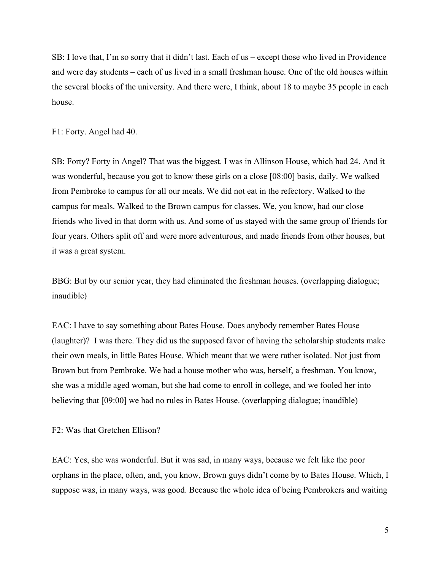SB: I love that, I'm so sorry that it didn't last. Each of us – except those who lived in Providence and were day students – each of us lived in a small freshman house. One of the old houses within the several blocks of the university. And there were, I think, about 18 to maybe 35 people in each house.

F1: Forty. Angel had 40.

SB: Forty? Forty in Angel? That was the biggest. I was in Allinson House, which had 24. And it was wonderful, because you got to know these girls on a close [08:00] basis, daily. We walked from Pembroke to campus for all our meals. We did not eat in the refectory. Walked to the campus for meals. Walked to the Brown campus for classes. We, you know, had our close friends who lived in that dorm with us. And some of us stayed with the same group of friends for four years. Others split off and were more adventurous, and made friends from other houses, but it was a great system.

BBG: But by our senior year, they had eliminated the freshman houses. (overlapping dialogue; inaudible)

EAC: I have to say something about Bates House. Does anybody remember Bates House (laughter)? I was there. They did us the supposed favor of having the scholarship students make their own meals, in little Bates House. Which meant that we were rather isolated. Not just from Brown but from Pembroke. We had a house mother who was, herself, a freshman. You know, she was a middle aged woman, but she had come to enroll in college, and we fooled her into believing that [09:00] we had no rules in Bates House. (overlapping dialogue; inaudible)

F2: Was that Gretchen Ellison?

EAC: Yes, she was wonderful. But it was sad, in many ways, because we felt like the poor orphans in the place, often, and, you know, Brown guys didn't come by to Bates House. Which, I suppose was, in many ways, was good. Because the whole idea of being Pembrokers and waiting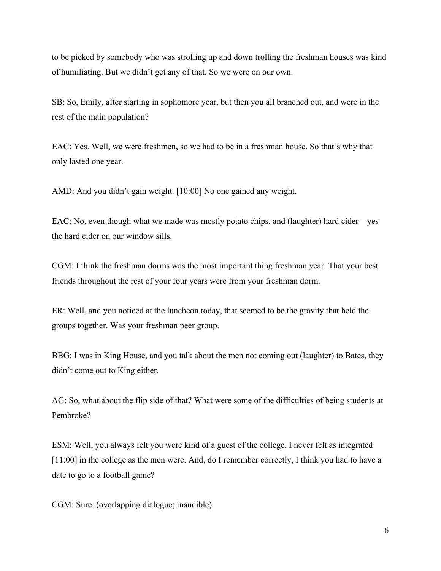to be picked by somebody who was strolling up and down trolling the freshman houses was kind of humiliating. But we didn't get any of that. So we were on our own.

SB: So, Emily, after starting in sophomore year, but then you all branched out, and were in the rest of the main population?

EAC: Yes. Well, we were freshmen, so we had to be in a freshman house. So that's why that only lasted one year.

AMD: And you didn't gain weight. [10:00] No one gained any weight.

EAC: No, even though what we made was mostly potato chips, and (laughter) hard cider – yes the hard cider on our window sills.

CGM: I think the freshman dorms was the most important thing freshman year. That your best friends throughout the rest of your four years were from your freshman dorm.

ER: Well, and you noticed at the luncheon today, that seemed to be the gravity that held the groups together. Was your freshman peer group.

BBG: I was in King House, and you talk about the men not coming out (laughter) to Bates, they didn't come out to King either.

AG: So, what about the flip side of that? What were some of the difficulties of being students at Pembroke?

ESM: Well, you always felt you were kind of a guest of the college. I never felt as integrated [11:00] in the college as the men were. And, do I remember correctly, I think you had to have a date to go to a football game?

CGM: Sure. (overlapping dialogue; inaudible)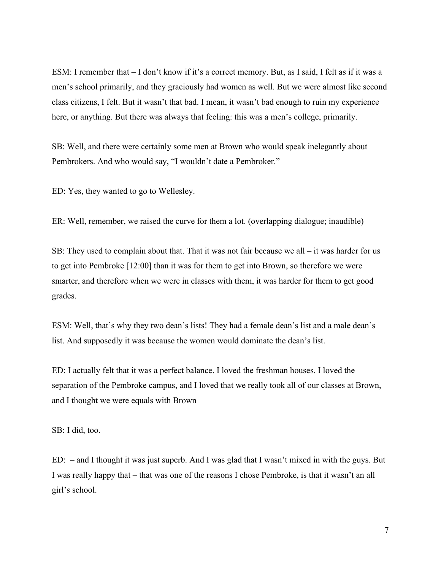ESM: I remember that – I don't know if it's a correct memory. But, as I said, I felt as if it was a men's school primarily, and they graciously had women as well. But we were almost like second class citizens, I felt. But it wasn't that bad. I mean, it wasn't bad enough to ruin my experience here, or anything. But there was always that feeling: this was a men's college, primarily.

SB: Well, and there were certainly some men at Brown who would speak inelegantly about Pembrokers. And who would say, "I wouldn't date a Pembroker."

ED: Yes, they wanted to go to Wellesley.

ER: Well, remember, we raised the curve for them a lot. (overlapping dialogue; inaudible)

SB: They used to complain about that. That it was not fair because we all – it was harder for us to get into Pembroke [12:00] than it was for them to get into Brown, so therefore we were smarter, and therefore when we were in classes with them, it was harder for them to get good grades.

ESM: Well, that's why they two dean's lists! They had a female dean's list and a male dean's list. And supposedly it was because the women would dominate the dean's list.

ED: I actually felt that it was a perfect balance. I loved the freshman houses. I loved the separation of the Pembroke campus, and I loved that we really took all of our classes at Brown, and I thought we were equals with Brown –

SB: I did, too.

ED: – and I thought it was just superb. And I was glad that I wasn't mixed in with the guys. But I was really happy that – that was one of the reasons I chose Pembroke, is that it wasn't an all girl's school.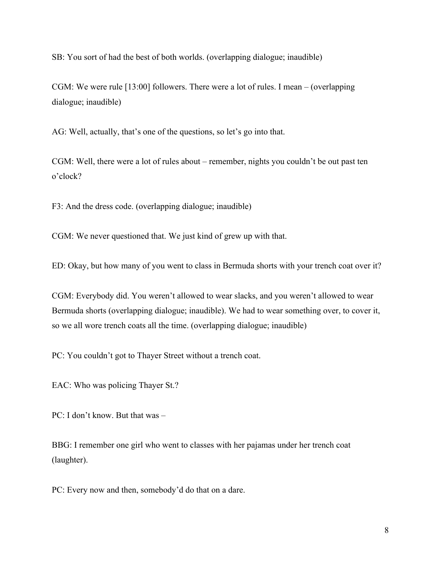SB: You sort of had the best of both worlds. (overlapping dialogue; inaudible)

CGM: We were rule [13:00] followers. There were a lot of rules. I mean – (overlapping dialogue; inaudible)

AG: Well, actually, that's one of the questions, so let's go into that.

CGM: Well, there were a lot of rules about – remember, nights you couldn't be out past ten o'clock?

F3: And the dress code. (overlapping dialogue; inaudible)

CGM: We never questioned that. We just kind of grew up with that.

ED: Okay, but how many of you went to class in Bermuda shorts with your trench coat over it?

CGM: Everybody did. You weren't allowed to wear slacks, and you weren't allowed to wear Bermuda shorts (overlapping dialogue; inaudible). We had to wear something over, to cover it, so we all wore trench coats all the time. (overlapping dialogue; inaudible)

PC: You couldn't got to Thayer Street without a trench coat.

EAC: Who was policing Thayer St.?

PC: I don't know. But that was –

BBG: I remember one girl who went to classes with her pajamas under her trench coat (laughter).

PC: Every now and then, somebody'd do that on a dare.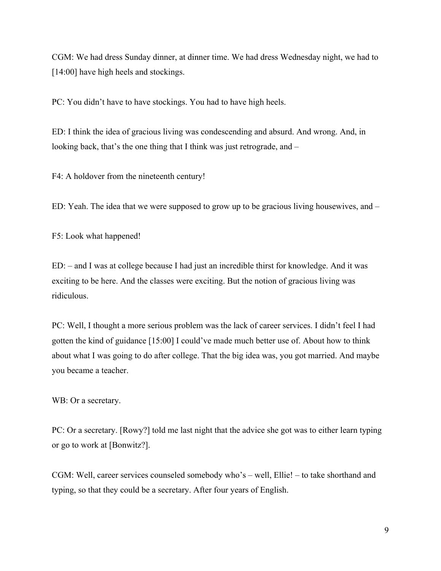CGM: We had dress Sunday dinner, at dinner time. We had dress Wednesday night, we had to [14:00] have high heels and stockings.

PC: You didn't have to have stockings. You had to have high heels.

ED: I think the idea of gracious living was condescending and absurd. And wrong. And, in looking back, that's the one thing that I think was just retrograde, and –

F4: A holdover from the nineteenth century!

ED: Yeah. The idea that we were supposed to grow up to be gracious living housewives, and –

F5: Look what happened!

ED: – and I was at college because I had just an incredible thirst for knowledge. And it was exciting to be here. And the classes were exciting. But the notion of gracious living was ridiculous.

PC: Well, I thought a more serious problem was the lack of career services. I didn't feel I had gotten the kind of guidance [15:00] I could've made much better use of. About how to think about what I was going to do after college. That the big idea was, you got married. And maybe you became a teacher.

WB: Or a secretary.

PC: Or a secretary. [Rowy?] told me last night that the advice she got was to either learn typing or go to work at [Bonwitz?].

CGM: Well, career services counseled somebody who's – well, Ellie! – to take shorthand and typing, so that they could be a secretary. After four years of English.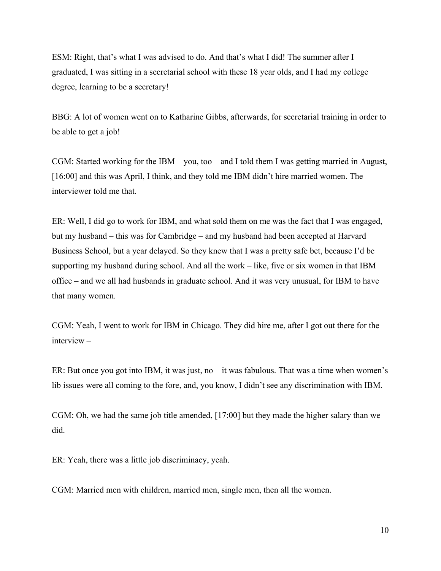ESM: Right, that's what I was advised to do. And that's what I did! The summer after I graduated, I was sitting in a secretarial school with these 18 year olds, and I had my college degree, learning to be a secretary!

BBG: A lot of women went on to Katharine Gibbs, afterwards, for secretarial training in order to be able to get a job!

CGM: Started working for the IBM – you, too – and I told them I was getting married in August, [16:00] and this was April, I think, and they told me IBM didn't hire married women. The interviewer told me that.

ER: Well, I did go to work for IBM, and what sold them on me was the fact that I was engaged, but my husband – this was for Cambridge – and my husband had been accepted at Harvard Business School, but a year delayed. So they knew that I was a pretty safe bet, because I'd be supporting my husband during school. And all the work – like, five or six women in that IBM office – and we all had husbands in graduate school. And it was very unusual, for IBM to have that many women.

CGM: Yeah, I went to work for IBM in Chicago. They did hire me, after I got out there for the interview –

ER: But once you got into IBM, it was just, no – it was fabulous. That was a time when women's lib issues were all coming to the fore, and, you know, I didn't see any discrimination with IBM.

CGM: Oh, we had the same job title amended, [17:00] but they made the higher salary than we did.

ER: Yeah, there was a little job discriminacy, yeah.

CGM: Married men with children, married men, single men, then all the women.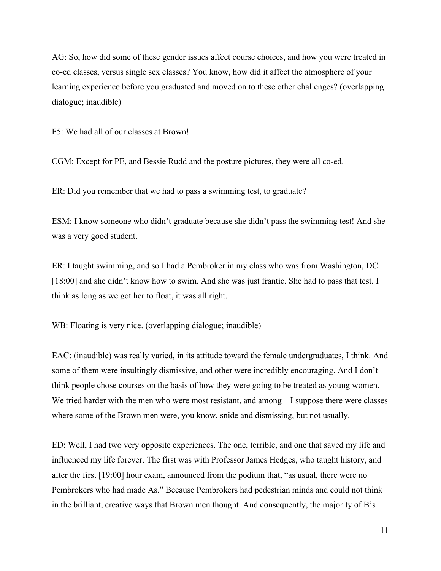AG: So, how did some of these gender issues affect course choices, and how you were treated in co-ed classes, versus single sex classes? You know, how did it affect the atmosphere of your learning experience before you graduated and moved on to these other challenges? (overlapping dialogue; inaudible)

F5: We had all of our classes at Brown!

CGM: Except for PE, and Bessie Rudd and the posture pictures, they were all co-ed.

ER: Did you remember that we had to pass a swimming test, to graduate?

ESM: I know someone who didn't graduate because she didn't pass the swimming test! And she was a very good student.

ER: I taught swimming, and so I had a Pembroker in my class who was from Washington, DC [18:00] and she didn't know how to swim. And she was just frantic. She had to pass that test. I think as long as we got her to float, it was all right.

WB: Floating is very nice. (overlapping dialogue; inaudible)

EAC: (inaudible) was really varied, in its attitude toward the female undergraduates, I think. And some of them were insultingly dismissive, and other were incredibly encouraging. And I don't think people chose courses on the basis of how they were going to be treated as young women. We tried harder with the men who were most resistant, and among  $-1$  suppose there were classes where some of the Brown men were, you know, snide and dismissing, but not usually.

ED: Well, I had two very opposite experiences. The one, terrible, and one that saved my life and influenced my life forever. The first was with Professor James Hedges, who taught history, and after the first [19:00] hour exam, announced from the podium that, "as usual, there were no Pembrokers who had made As." Because Pembrokers had pedestrian minds and could not think in the brilliant, creative ways that Brown men thought. And consequently, the majority of B's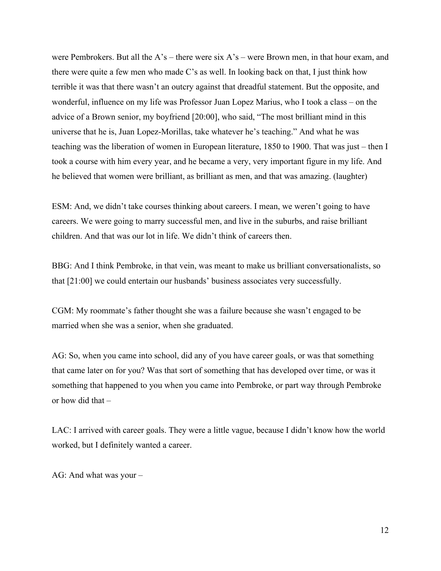were Pembrokers. But all the A's – there were six A's – were Brown men, in that hour exam, and there were quite a few men who made C's as well. In looking back on that, I just think how terrible it was that there wasn't an outcry against that dreadful statement. But the opposite, and wonderful, influence on my life was Professor Juan Lopez Marius, who I took a class – on the advice of a Brown senior, my boyfriend [20:00], who said, "The most brilliant mind in this universe that he is, Juan Lopez-Morillas, take whatever he's teaching." And what he was teaching was the liberation of women in European literature, 1850 to 1900. That was just – then I took a course with him every year, and he became a very, very important figure in my life. And he believed that women were brilliant, as brilliant as men, and that was amazing. (laughter)

ESM: And, we didn't take courses thinking about careers. I mean, we weren't going to have careers. We were going to marry successful men, and live in the suburbs, and raise brilliant children. And that was our lot in life. We didn't think of careers then.

BBG: And I think Pembroke, in that vein, was meant to make us brilliant conversationalists, so that [21:00] we could entertain our husbands' business associates very successfully.

CGM: My roommate's father thought she was a failure because she wasn't engaged to be married when she was a senior, when she graduated.

AG: So, when you came into school, did any of you have career goals, or was that something that came later on for you? Was that sort of something that has developed over time, or was it something that happened to you when you came into Pembroke, or part way through Pembroke or how did that –

LAC: I arrived with career goals. They were a little vague, because I didn't know how the world worked, but I definitely wanted a career.

AG: And what was your –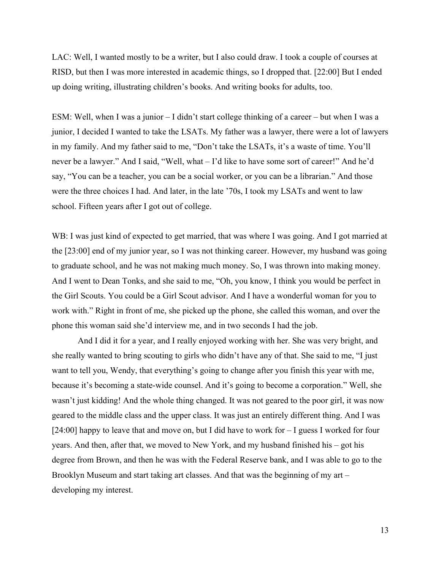LAC: Well, I wanted mostly to be a writer, but I also could draw. I took a couple of courses at RISD, but then I was more interested in academic things, so I dropped that. [22:00] But I ended up doing writing, illustrating children's books. And writing books for adults, too.

ESM: Well, when I was a junior – I didn't start college thinking of a career – but when I was a junior, I decided I wanted to take the LSATs. My father was a lawyer, there were a lot of lawyers in my family. And my father said to me, "Don't take the LSATs, it's a waste of time. You'll never be a lawyer." And I said, "Well, what – I'd like to have some sort of career!" And he'd say, "You can be a teacher, you can be a social worker, or you can be a librarian." And those were the three choices I had. And later, in the late '70s, I took my LSATs and went to law school. Fifteen years after I got out of college.

WB: I was just kind of expected to get married, that was where I was going. And I got married at the [23:00] end of my junior year, so I was not thinking career. However, my husband was going to graduate school, and he was not making much money. So, I was thrown into making money. And I went to Dean Tonks, and she said to me, "Oh, you know, I think you would be perfect in the Girl Scouts. You could be a Girl Scout advisor. And I have a wonderful woman for you to work with." Right in front of me, she picked up the phone, she called this woman, and over the phone this woman said she'd interview me, and in two seconds I had the job.

And I did it for a year, and I really enjoyed working with her. She was very bright, and she really wanted to bring scouting to girls who didn't have any of that. She said to me, "I just want to tell you, Wendy, that everything's going to change after you finish this year with me, because it's becoming a state-wide counsel. And it's going to become a corporation." Well, she wasn't just kidding! And the whole thing changed. It was not geared to the poor girl, it was now geared to the middle class and the upper class. It was just an entirely different thing. And I was [24:00] happy to leave that and move on, but I did have to work for – I guess I worked for four years. And then, after that, we moved to New York, and my husband finished his – got his degree from Brown, and then he was with the Federal Reserve bank, and I was able to go to the Brooklyn Museum and start taking art classes. And that was the beginning of my art – developing my interest.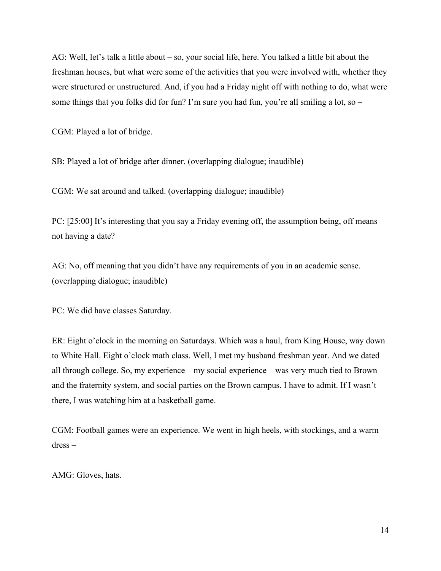AG: Well, let's talk a little about – so, your social life, here. You talked a little bit about the freshman houses, but what were some of the activities that you were involved with, whether they were structured or unstructured. And, if you had a Friday night off with nothing to do, what were some things that you folks did for fun? I'm sure you had fun, you're all smiling a lot, so –

CGM: Played a lot of bridge.

SB: Played a lot of bridge after dinner. (overlapping dialogue; inaudible)

CGM: We sat around and talked. (overlapping dialogue; inaudible)

PC: [25:00] It's interesting that you say a Friday evening off, the assumption being, off means not having a date?

AG: No, off meaning that you didn't have any requirements of you in an academic sense. (overlapping dialogue; inaudible)

PC: We did have classes Saturday.

ER: Eight o'clock in the morning on Saturdays. Which was a haul, from King House, way down to White Hall. Eight o'clock math class. Well, I met my husband freshman year. And we dated all through college. So, my experience – my social experience – was very much tied to Brown and the fraternity system, and social parties on the Brown campus. I have to admit. If I wasn't there, I was watching him at a basketball game.

CGM: Football games were an experience. We went in high heels, with stockings, and a warm dress –

AMG: Gloves, hats.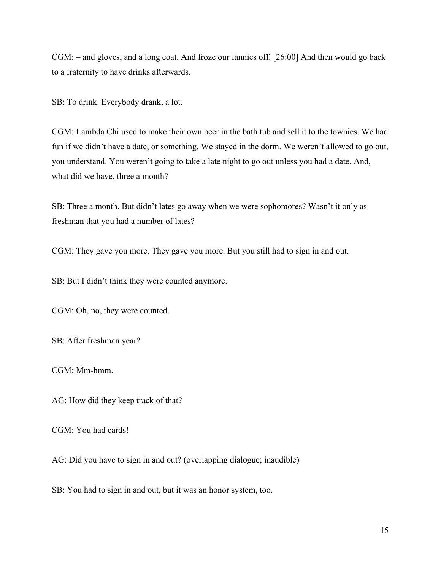CGM: – and gloves, and a long coat. And froze our fannies off. [26:00] And then would go back to a fraternity to have drinks afterwards.

SB: To drink. Everybody drank, a lot.

CGM: Lambda Chi used to make their own beer in the bath tub and sell it to the townies. We had fun if we didn't have a date, or something. We stayed in the dorm. We weren't allowed to go out, you understand. You weren't going to take a late night to go out unless you had a date. And, what did we have, three a month?

SB: Three a month. But didn't lates go away when we were sophomores? Wasn't it only as freshman that you had a number of lates?

CGM: They gave you more. They gave you more. But you still had to sign in and out.

SB: But I didn't think they were counted anymore.

CGM: Oh, no, they were counted.

SB: After freshman year?

CGM: Mm-hmm.

AG: How did they keep track of that?

CGM: You had cards!

AG: Did you have to sign in and out? (overlapping dialogue; inaudible)

SB: You had to sign in and out, but it was an honor system, too.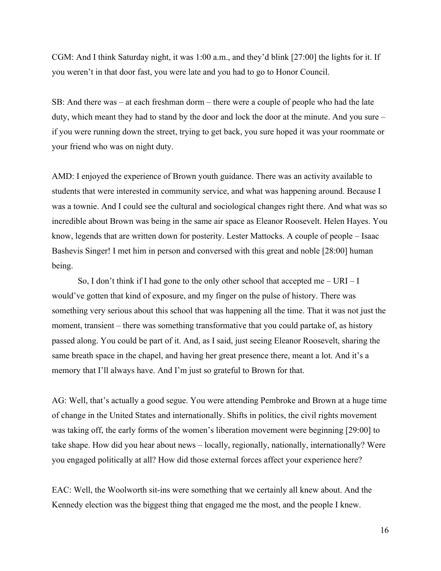CGM: And I think Saturday night, it was 1:00 a.m., and they'd blink [27:00] the lights for it. If you weren't in that door fast, you were late and you had to go to Honor Council.

SB: And there was – at each freshman dorm – there were a couple of people who had the late duty, which meant they had to stand by the door and lock the door at the minute. And you sure – if you were running down the street, trying to get back, you sure hoped it was your roommate or your friend who was on night duty.

AMD: I enjoyed the experience of Brown youth guidance. There was an activity available to students that were interested in community service, and what was happening around. Because I was a townie. And I could see the cultural and sociological changes right there. And what was so incredible about Brown was being in the same air space as Eleanor Roosevelt. Helen Hayes. You know, legends that are written down for posterity. Lester Mattocks. A couple of people – Isaac Bashevis Singer! I met him in person and conversed with this great and noble [28:00] human being.

So, I don't think if I had gone to the only other school that accepted me  $- \text{URI} - \text{I}$ would've gotten that kind of exposure, and my finger on the pulse of history. There was something very serious about this school that was happening all the time. That it was not just the moment, transient – there was something transformative that you could partake of, as history passed along. You could be part of it. And, as I said, just seeing Eleanor Roosevelt, sharing the same breath space in the chapel, and having her great presence there, meant a lot. And it's a memory that I'll always have. And I'm just so grateful to Brown for that.

AG: Well, that's actually a good segue. You were attending Pembroke and Brown at a huge time of change in the United States and internationally. Shifts in politics, the civil rights movement was taking off, the early forms of the women's liberation movement were beginning [29:00] to take shape. How did you hear about news – locally, regionally, nationally, internationally? Were you engaged politically at all? How did those external forces affect your experience here?

EAC: Well, the Woolworth sit-ins were something that we certainly all knew about. And the Kennedy election was the biggest thing that engaged me the most, and the people I knew.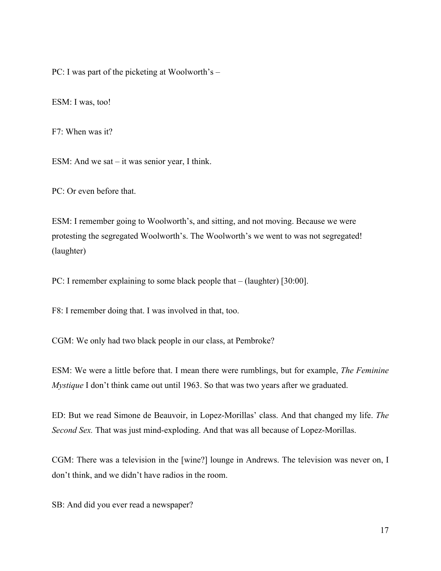PC: I was part of the picketing at Woolworth's –

ESM: I was, too!

F7: When was it?

ESM: And we sat – it was senior year, I think.

PC: Or even before that.

ESM: I remember going to Woolworth's, and sitting, and not moving. Because we were protesting the segregated Woolworth's. The Woolworth's we went to was not segregated! (laughter)

PC: I remember explaining to some black people that – (laughter) [30:00].

F8: I remember doing that. I was involved in that, too.

CGM: We only had two black people in our class, at Pembroke?

ESM: We were a little before that. I mean there were rumblings, but for example, *The Feminine Mystique* I don't think came out until 1963. So that was two years after we graduated.

ED: But we read Simone de Beauvoir, in Lopez-Morillas' class. And that changed my life. *The Second Sex.* That was just mind-exploding. And that was all because of Lopez-Morillas.

CGM: There was a television in the [wine?] lounge in Andrews. The television was never on, I don't think, and we didn't have radios in the room.

SB: And did you ever read a newspaper?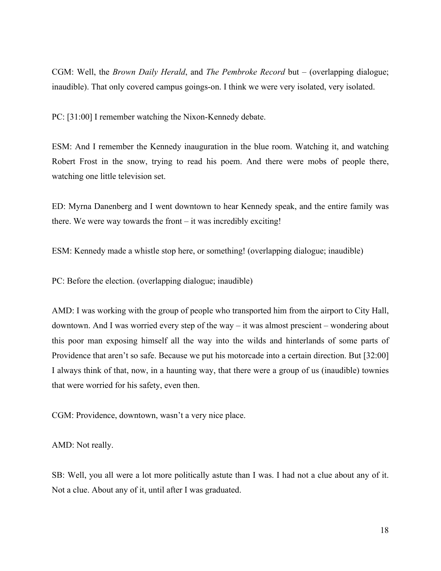CGM: Well, the *Brown Daily Herald*, and *The Pembroke Record* but – (overlapping dialogue; inaudible). That only covered campus goings-on. I think we were very isolated, very isolated.

PC: [31:00] I remember watching the Nixon-Kennedy debate.

ESM: And I remember the Kennedy inauguration in the blue room. Watching it, and watching Robert Frost in the snow, trying to read his poem. And there were mobs of people there, watching one little television set.

ED: Myrna Danenberg and I went downtown to hear Kennedy speak, and the entire family was there. We were way towards the front – it was incredibly exciting!

ESM: Kennedy made a whistle stop here, or something! (overlapping dialogue; inaudible)

PC: Before the election. (overlapping dialogue; inaudible)

AMD: I was working with the group of people who transported him from the airport to City Hall, downtown. And I was worried every step of the way – it was almost prescient – wondering about this poor man exposing himself all the way into the wilds and hinterlands of some parts of Providence that aren't so safe. Because we put his motorcade into a certain direction. But [32:00] I always think of that, now, in a haunting way, that there were a group of us (inaudible) townies that were worried for his safety, even then.

CGM: Providence, downtown, wasn't a very nice place.

AMD: Not really.

SB: Well, you all were a lot more politically astute than I was. I had not a clue about any of it. Not a clue. About any of it, until after I was graduated.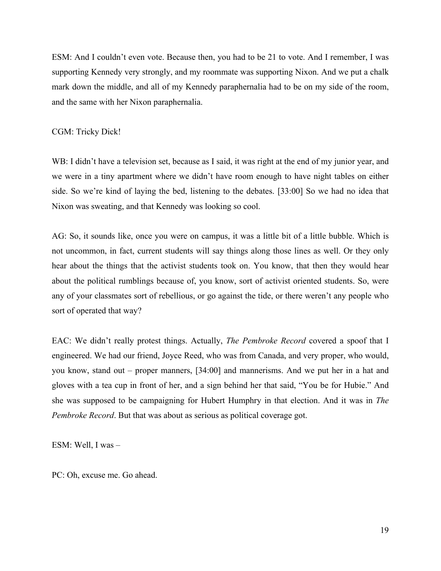ESM: And I couldn't even vote. Because then, you had to be 21 to vote. And I remember, I was supporting Kennedy very strongly, and my roommate was supporting Nixon. And we put a chalk mark down the middle, and all of my Kennedy paraphernalia had to be on my side of the room, and the same with her Nixon paraphernalia.

## CGM: Tricky Dick!

WB: I didn't have a television set, because as I said, it was right at the end of my junior year, and we were in a tiny apartment where we didn't have room enough to have night tables on either side. So we're kind of laying the bed, listening to the debates. [33:00] So we had no idea that Nixon was sweating, and that Kennedy was looking so cool.

AG: So, it sounds like, once you were on campus, it was a little bit of a little bubble. Which is not uncommon, in fact, current students will say things along those lines as well. Or they only hear about the things that the activist students took on. You know, that then they would hear about the political rumblings because of, you know, sort of activist oriented students. So, were any of your classmates sort of rebellious, or go against the tide, or there weren't any people who sort of operated that way?

EAC: We didn't really protest things. Actually, *The Pembroke Record* covered a spoof that I engineered. We had our friend, Joyce Reed, who was from Canada, and very proper, who would, you know, stand out – proper manners, [34:00] and mannerisms. And we put her in a hat and gloves with a tea cup in front of her, and a sign behind her that said, "You be for Hubie." And she was supposed to be campaigning for Hubert Humphry in that election. And it was in *The Pembroke Record*. But that was about as serious as political coverage got.

ESM: Well, I was –

PC: Oh, excuse me. Go ahead.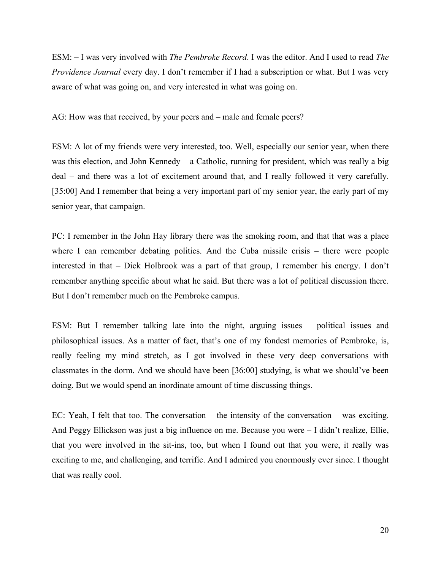ESM: – I was very involved with *The Pembroke Record*. I was the editor. And I used to read *The Providence Journal* every day. I don't remember if I had a subscription or what. But I was very aware of what was going on, and very interested in what was going on.

AG: How was that received, by your peers and – male and female peers?

ESM: A lot of my friends were very interested, too. Well, especially our senior year, when there was this election, and John Kennedy – a Catholic, running for president, which was really a big deal – and there was a lot of excitement around that, and I really followed it very carefully. [35:00] And I remember that being a very important part of my senior year, the early part of my senior year, that campaign.

PC: I remember in the John Hay library there was the smoking room, and that that was a place where I can remember debating politics. And the Cuba missile crisis – there were people interested in that – Dick Holbrook was a part of that group, I remember his energy. I don't remember anything specific about what he said. But there was a lot of political discussion there. But I don't remember much on the Pembroke campus.

ESM: But I remember talking late into the night, arguing issues – political issues and philosophical issues. As a matter of fact, that's one of my fondest memories of Pembroke, is, really feeling my mind stretch, as I got involved in these very deep conversations with classmates in the dorm. And we should have been [36:00] studying, is what we should've been doing. But we would spend an inordinate amount of time discussing things.

EC: Yeah, I felt that too. The conversation – the intensity of the conversation – was exciting. And Peggy Ellickson was just a big influence on me. Because you were – I didn't realize, Ellie, that you were involved in the sit-ins, too, but when I found out that you were, it really was exciting to me, and challenging, and terrific. And I admired you enormously ever since. I thought that was really cool.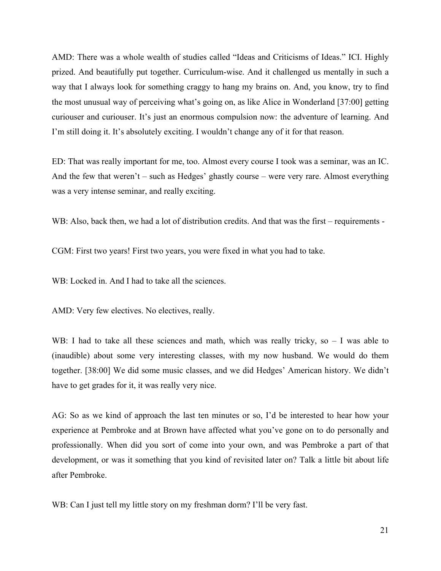AMD: There was a whole wealth of studies called "Ideas and Criticisms of Ideas." ICI. Highly prized. And beautifully put together. Curriculum-wise. And it challenged us mentally in such a way that I always look for something craggy to hang my brains on. And, you know, try to find the most unusual way of perceiving what's going on, as like Alice in Wonderland [37:00] getting curiouser and curiouser. It's just an enormous compulsion now: the adventure of learning. And I'm still doing it. It's absolutely exciting. I wouldn't change any of it for that reason.

ED: That was really important for me, too. Almost every course I took was a seminar, was an IC. And the few that weren't – such as Hedges' ghastly course – were very rare. Almost everything was a very intense seminar, and really exciting.

WB: Also, back then, we had a lot of distribution credits. And that was the first – requirements -

CGM: First two years! First two years, you were fixed in what you had to take.

WB: Locked in. And I had to take all the sciences.

AMD: Very few electives. No electives, really.

WB: I had to take all these sciences and math, which was really tricky, so  $-1$  was able to (inaudible) about some very interesting classes, with my now husband. We would do them together. [38:00] We did some music classes, and we did Hedges' American history. We didn't have to get grades for it, it was really very nice.

AG: So as we kind of approach the last ten minutes or so, I'd be interested to hear how your experience at Pembroke and at Brown have affected what you've gone on to do personally and professionally. When did you sort of come into your own, and was Pembroke a part of that development, or was it something that you kind of revisited later on? Talk a little bit about life after Pembroke.

WB: Can I just tell my little story on my freshman dorm? I'll be very fast.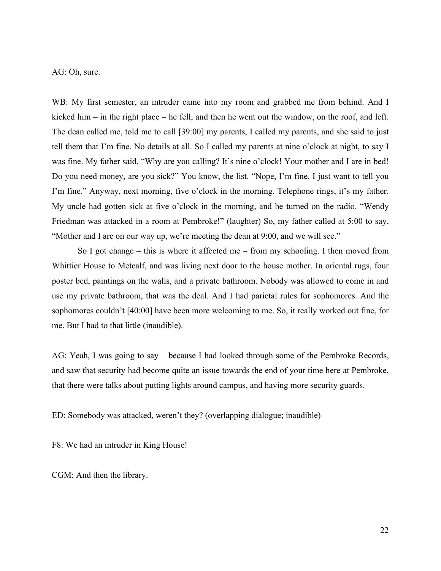AG: Oh, sure.

WB: My first semester, an intruder came into my room and grabbed me from behind. And I kicked him – in the right place – he fell, and then he went out the window, on the roof, and left. The dean called me, told me to call [39:00] my parents, I called my parents, and she said to just tell them that I'm fine. No details at all. So I called my parents at nine o'clock at night, to say I was fine. My father said, "Why are you calling? It's nine o'clock! Your mother and I are in bed! Do you need money, are you sick?" You know, the list. "Nope, I'm fine, I just want to tell you I'm fine." Anyway, next morning, five o'clock in the morning. Telephone rings, it's my father. My uncle had gotten sick at five o'clock in the morning, and he turned on the radio. "Wendy Friedman was attacked in a room at Pembroke!" (laughter) So, my father called at 5:00 to say, "Mother and I are on our way up, we're meeting the dean at 9:00, and we will see."

So I got change – this is where it affected me – from my schooling. I then moved from Whittier House to Metcalf, and was living next door to the house mother. In oriental rugs, four poster bed, paintings on the walls, and a private bathroom. Nobody was allowed to come in and use my private bathroom, that was the deal. And I had parietal rules for sophomores. And the sophomores couldn't [40:00] have been more welcoming to me. So, it really worked out fine, for me. But I had to that little (inaudible).

AG: Yeah, I was going to say – because I had looked through some of the Pembroke Records, and saw that security had become quite an issue towards the end of your time here at Pembroke, that there were talks about putting lights around campus, and having more security guards.

ED: Somebody was attacked, weren't they? (overlapping dialogue; inaudible)

F8: We had an intruder in King House!

CGM: And then the library.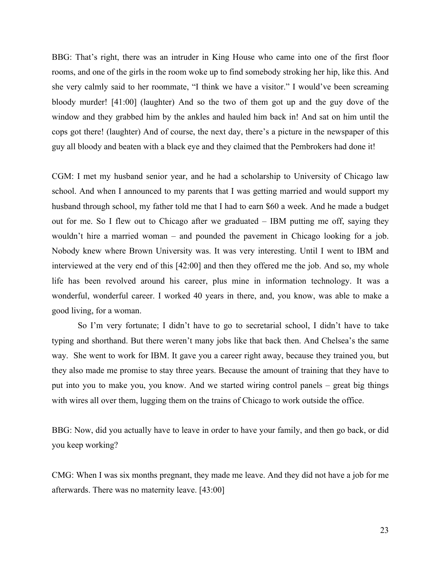BBG: That's right, there was an intruder in King House who came into one of the first floor rooms, and one of the girls in the room woke up to find somebody stroking her hip, like this. And she very calmly said to her roommate, "I think we have a visitor." I would've been screaming bloody murder! [41:00] (laughter) And so the two of them got up and the guy dove of the window and they grabbed him by the ankles and hauled him back in! And sat on him until the cops got there! (laughter) And of course, the next day, there's a picture in the newspaper of this guy all bloody and beaten with a black eye and they claimed that the Pembrokers had done it!

CGM: I met my husband senior year, and he had a scholarship to University of Chicago law school. And when I announced to my parents that I was getting married and would support my husband through school, my father told me that I had to earn \$60 a week. And he made a budget out for me. So I flew out to Chicago after we graduated – IBM putting me off, saying they wouldn't hire a married woman – and pounded the pavement in Chicago looking for a job. Nobody knew where Brown University was. It was very interesting. Until I went to IBM and interviewed at the very end of this [42:00] and then they offered me the job. And so, my whole life has been revolved around his career, plus mine in information technology. It was a wonderful, wonderful career. I worked 40 years in there, and, you know, was able to make a good living, for a woman.

So I'm very fortunate; I didn't have to go to secretarial school, I didn't have to take typing and shorthand. But there weren't many jobs like that back then. And Chelsea's the same way. She went to work for IBM. It gave you a career right away, because they trained you, but they also made me promise to stay three years. Because the amount of training that they have to put into you to make you, you know. And we started wiring control panels – great big things with wires all over them, lugging them on the trains of Chicago to work outside the office.

BBG: Now, did you actually have to leave in order to have your family, and then go back, or did you keep working?

CMG: When I was six months pregnant, they made me leave. And they did not have a job for me afterwards. There was no maternity leave. [43:00]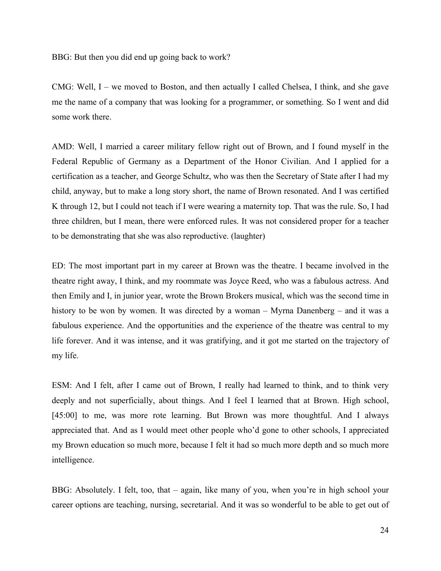BBG: But then you did end up going back to work?

CMG: Well, I – we moved to Boston, and then actually I called Chelsea, I think, and she gave me the name of a company that was looking for a programmer, or something. So I went and did some work there.

AMD: Well, I married a career military fellow right out of Brown, and I found myself in the Federal Republic of Germany as a Department of the Honor Civilian. And I applied for a certification as a teacher, and George Schultz, who was then the Secretary of State after I had my child, anyway, but to make a long story short, the name of Brown resonated. And I was certified K through 12, but I could not teach if I were wearing a maternity top. That was the rule. So, I had three children, but I mean, there were enforced rules. It was not considered proper for a teacher to be demonstrating that she was also reproductive. (laughter)

ED: The most important part in my career at Brown was the theatre. I became involved in the theatre right away, I think, and my roommate was Joyce Reed, who was a fabulous actress. And then Emily and I, in junior year, wrote the Brown Brokers musical, which was the second time in history to be won by women. It was directed by a woman – Myrna Danenberg – and it was a fabulous experience. And the opportunities and the experience of the theatre was central to my life forever. And it was intense, and it was gratifying, and it got me started on the trajectory of my life.

ESM: And I felt, after I came out of Brown, I really had learned to think, and to think very deeply and not superficially, about things. And I feel I learned that at Brown. High school, [45:00] to me, was more rote learning. But Brown was more thoughtful. And I always appreciated that. And as I would meet other people who'd gone to other schools, I appreciated my Brown education so much more, because I felt it had so much more depth and so much more intelligence.

BBG: Absolutely. I felt, too, that – again, like many of you, when you're in high school your career options are teaching, nursing, secretarial. And it was so wonderful to be able to get out of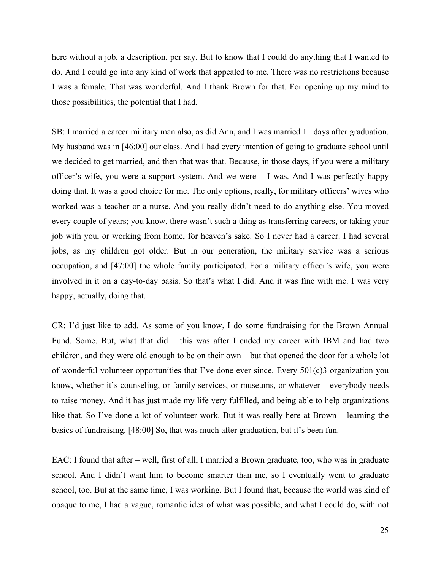here without a job, a description, per say. But to know that I could do anything that I wanted to do. And I could go into any kind of work that appealed to me. There was no restrictions because I was a female. That was wonderful. And I thank Brown for that. For opening up my mind to those possibilities, the potential that I had.

SB: I married a career military man also, as did Ann, and I was married 11 days after graduation. My husband was in [46:00] our class. And I had every intention of going to graduate school until we decided to get married, and then that was that. Because, in those days, if you were a military officer's wife, you were a support system. And we were – I was. And I was perfectly happy doing that. It was a good choice for me. The only options, really, for military officers' wives who worked was a teacher or a nurse. And you really didn't need to do anything else. You moved every couple of years; you know, there wasn't such a thing as transferring careers, or taking your job with you, or working from home, for heaven's sake. So I never had a career. I had several jobs, as my children got older. But in our generation, the military service was a serious occupation, and [47:00] the whole family participated. For a military officer's wife, you were involved in it on a day-to-day basis. So that's what I did. And it was fine with me. I was very happy, actually, doing that.

CR: I'd just like to add. As some of you know, I do some fundraising for the Brown Annual Fund. Some. But, what that did – this was after I ended my career with IBM and had two children, and they were old enough to be on their own – but that opened the door for a whole lot of wonderful volunteer opportunities that I've done ever since. Every 501(c)3 organization you know, whether it's counseling, or family services, or museums, or whatever – everybody needs to raise money. And it has just made my life very fulfilled, and being able to help organizations like that. So I've done a lot of volunteer work. But it was really here at Brown – learning the basics of fundraising. [48:00] So, that was much after graduation, but it's been fun.

EAC: I found that after – well, first of all, I married a Brown graduate, too, who was in graduate school. And I didn't want him to become smarter than me, so I eventually went to graduate school, too. But at the same time, I was working. But I found that, because the world was kind of opaque to me, I had a vague, romantic idea of what was possible, and what I could do, with not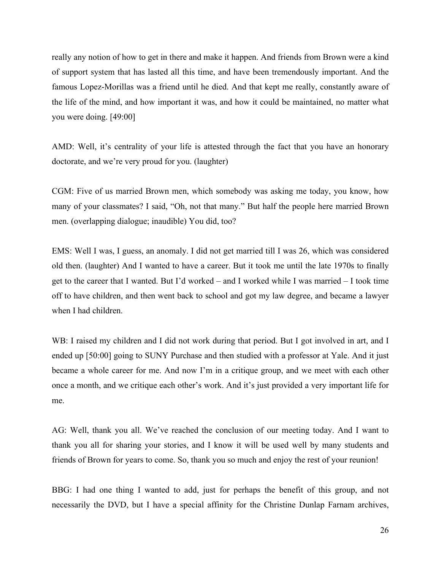really any notion of how to get in there and make it happen. And friends from Brown were a kind of support system that has lasted all this time, and have been tremendously important. And the famous Lopez-Morillas was a friend until he died. And that kept me really, constantly aware of the life of the mind, and how important it was, and how it could be maintained, no matter what you were doing. [49:00]

AMD: Well, it's centrality of your life is attested through the fact that you have an honorary doctorate, and we're very proud for you. (laughter)

CGM: Five of us married Brown men, which somebody was asking me today, you know, how many of your classmates? I said, "Oh, not that many." But half the people here married Brown men. (overlapping dialogue; inaudible) You did, too?

EMS: Well I was, I guess, an anomaly. I did not get married till I was 26, which was considered old then. (laughter) And I wanted to have a career. But it took me until the late 1970s to finally get to the career that I wanted. But I'd worked – and I worked while I was married – I took time off to have children, and then went back to school and got my law degree, and became a lawyer when I had children.

WB: I raised my children and I did not work during that period. But I got involved in art, and I ended up [50:00] going to SUNY Purchase and then studied with a professor at Yale. And it just became a whole career for me. And now I'm in a critique group, and we meet with each other once a month, and we critique each other's work. And it's just provided a very important life for me.

AG: Well, thank you all. We've reached the conclusion of our meeting today. And I want to thank you all for sharing your stories, and I know it will be used well by many students and friends of Brown for years to come. So, thank you so much and enjoy the rest of your reunion!

BBG: I had one thing I wanted to add, just for perhaps the benefit of this group, and not necessarily the DVD, but I have a special affinity for the Christine Dunlap Farnam archives,